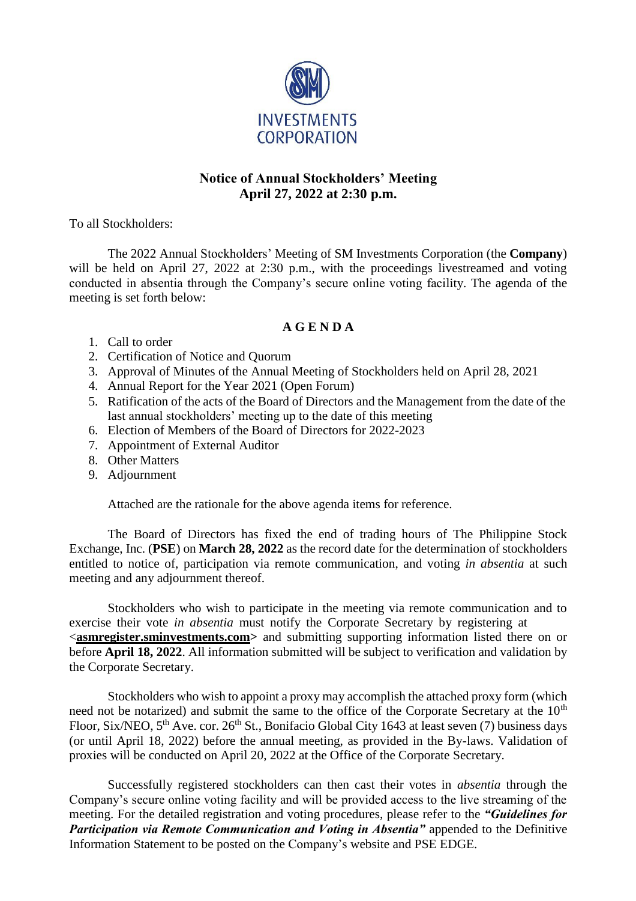

## **Notice of Annual Stockholders' Meeting April 27, 2022 at 2:30 p.m.**

To all Stockholders:

The 2022 Annual Stockholders' Meeting of SM Investments Corporation (the **Company**) will be held on April 27, 2022 at 2:30 p.m., with the proceedings livestreamed and voting conducted in absentia through the Company's secure online voting facility. The agenda of the meeting is set forth below:

## **A G E N D A**

- 1. Call to order
- 2. Certification of Notice and Quorum
- 3. Approval of Minutes of the Annual Meeting of Stockholders held on April 28, 2021
- 4. Annual Report for the Year 2021 (Open Forum)
- 5. Ratification of the acts of the Board of Directors and the Management from the date of the last annual stockholders' meeting up to the date of this meeting
- 6. Election of Members of the Board of Directors for 2022-2023
- 7. Appointment of External Auditor
- 8. Other Matters
- 9. Adjournment

Attached are the rationale for the above agenda items for reference.

The Board of Directors has fixed the end of trading hours of The Philippine Stock Exchange, Inc. (**PSE**) on **March 28, 2022** as the record date for the determination of stockholders entitled to notice of, participation via remote communication, and voting *in absentia* at such meeting and any adjournment thereof.

Stockholders who wish to participate in the meeting via remote communication and to exercise their vote *in absentia* must notify the Corporate Secretary by registering at <**asmregister.sminvestments.com>** and submitting supporting information listed there on or before **April 18, 2022**. All information submitted will be subject to verification and validation by the Corporate Secretary.

Stockholders who wish to appoint a proxy may accomplish the attached proxy form (which need not be notarized) and submit the same to the office of the Corporate Secretary at the 10<sup>th</sup> Floor, Six/NEO, 5<sup>th</sup> Ave. cor. 26<sup>th</sup> St., Bonifacio Global City 1643 at least seven (7) business days (or until April 18, 2022) before the annual meeting, as provided in the By-laws. Validation of proxies will be conducted on April 20, 2022 at the Office of the Corporate Secretary.

Successfully registered stockholders can then cast their votes in *absentia* through the Company's secure online voting facility and will be provided access to the live streaming of the meeting. For the detailed registration and voting procedures, please refer to the *"Guidelines for Participation via Remote Communication and Voting in Absentia*" appended to the Definitive Information Statement to be posted on the Company's website and PSE EDGE.